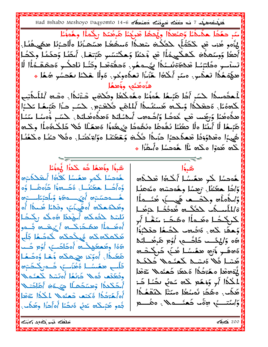Had Bshabo Meshoyo Daqyomto 14-6 ملحلة المحمد من 7 مله الله عليه المعلم بعد المحمد المحمد المحمد الم

مِّم حَمَّطًا هِدَّكَ، وَصَعِدًا وِيُحِمَّا شَرِجُنَا هَرِمُتَكَ رَجَّدَاً! وَهُوَذَا إِلَيْهِ مُنِت مِّي كَكَتُمْ لَلْحَكْمَ سْعَـدًا هَـمعُمَـٰا هَـمَعَـنُا وَلَاكِـرُنَا هَمَيَـفُـُـا. أَحعُا وَمِمَعِدُهَ ۖ كَعِكْبِيءُاُ ۚ مَى وْحِبُرُا وَحِكْتِسَبِ هَزَتِهَا. أَحَدُا وَحَكَسًا وِكْحًا تَسْآسِرِ هَكَاتَبْسًا شَدْهَةَتَسُنُدًا بِيُحِمُرٍ. هَحفَّةَشَا وِكَتُٰا لَاصْلُـرِ هَحْفَـفَـدًا لَا حَكَّمَهُمَا تَعَمَّسِ. مِنْ أَحْدُهُ! هَٰٓبُنُ! تَعَكُّمُوجُنِ. هُولًا هَكُمَّا نَعْصَبُنِ هُـمَا \* فأوقُثُم وؤُهمُا

لْمَحْمِىمُا ۖ كَمَرٍ أَحَا هَُبَـمُا ۖ مُمَوْمًا مِمُمكَمُا وِصُدْهَى شَتْئِكُا وَصْدَه ٱلْمُلَكِّيَى لْكُلُّهِهُمْا. هَجَعْكُمَا وُلِكُلُّهُ مَسْتُمَمَّا ٱلْمَلَّقَ حُكْتَبَهُ. كَمَّدٍ جَزَّا هَزَيْعًا عَكْزَا ھدُّەھُمُّا وَرِبِّحْسَا ھُنِ كُوجُا وَٱجْتَامِتَ ٱلْحَمْلِيُّةَ وَهَدُّوهُكُلِّةً. نَحْسُرٍ وُوصُلًا مَمُبَل هَبَّـمُا لَا أَمنُا هِ لَا فَصَلَّا لَقَمِهَا مِ هُوَدًا مَعْدَوْا وَمَعْنَا شَلَّا كَلَّـدُوهَ الْ وَكَــرَة هُي}ا وهَدْوَوْدًا هُمْكُدد}ا حَبْدًا شَكْـرَة وَحْكَنْنْـا ووَاوْحُنْنَـا. وشَلا صَنْـًا وحْكَمْـُـا لْكُلُّهِ هُدَوْا مِكْلَهُ ۚ يُٰٓا هُدَهِنَا هُ أَمْثُواْ ﴾

هْرِزُا وِذُهِمًا هُو كَجِبًا لِمُوزُمًا هُوصِمًا لَحُورٍ مِعَسَمًا لَمَدُوا أَحْفَلَكُمْتِرُو وْهِ أَحْسا هِعَنْتُسَا. هُجَسُودُا جَنُوعُسَا وُهِ وهَكَمَعْكُمْ أُوفَى مَجْرَبٍ وِصْطَا هُـمْدًا أُو تَاسْط حْثُمْكُلُّهُ أَجْبُحُكُلُّ رُهُمْكُمْ بِكُبْحُلُّ أُه هَـــه أَ لا هَـهُــدَّ مَـــدَّ لَـــدَهِ مَ أَـــدَهِ مَــدَهِ مَكْعَدُهكُمْ فَهِنْحَدُه ۚ خُمْصُمُا مَلَٰهِ هَهُا ومُعطَّهكُ ۞ أُوحُاحُبُ ﴾ أُوُم حُــــ هَٰهَٰـٰهُا ۚ. أُوَوَّنَـٰٓ مَيۡـِمَـٰدُ ۚ وَۡهَـٰا وُوَحَـٰهُـا كأك مغسلا ةمؤكي كدرككوه وتُعَكَّفُ شَمْلًا أَوْلُمُلْ أُوتُسْمَعْ لَكُمْتُمْلًا ۖ أَحَكَّدَهُ! وَمَسَّحَمِلًا حَيْجَةَ أَهَاجُنَــلا أَه أَحَتِكُمُ الْهُكِتِمِ شَعِنُهِ لَا لَكُمُ الصَّفَالِ بُّمو هَٰبُكُلُه عَهْلُ ذُنشَا أُه أَحَٰرًا وهُكُت.

هُوصِمًا لَحْدٍ هِمُسُمَّا أَكْتُوا شَكَلُاهِ وَّاحًا حَعَّنُنَا. رَهِيمًا وِحْمَدِسْهِ وَشَعَطُ وَّامِدْهُ الْمَسْمَعَ فَي أَنَّ هُنْسُمْلُ ة/لمَلِّىكُ حَثَكَ هُ هُودُهُ لَ حَرْهُــا لْكَرِيْكُنُّا هِ هُــوَلَٰا هِ هُنَّــَۃٍ مُنَّقَّـا أَبِ وَحفَۃٍ جُدہ ِ. ہَاصُنہ حَصَّمَا حَثَكَرُوْا ەھكىر ۋە ھەئىئىل ھُـنَّى كَرېڭىشىھ مُسْار فُلا ەَسْىد جْھنُے لا حُلجَك لْمُعَاهَدُ مَمْتِحُمُّا مُحْمَّدٍ حُمِّدُهِ حَقَّفَ ||الحُکُا أَبِ وَذِهَمِ لَاهِ سَمنُ لصَّا حَـ: هَٰٰٓهٗٮ فَصَدَّةً شَمْعُهُ مَمْتَهُ لَلْقَصُمُّا 

حَلْفُلُكُمْ مَرْمَوْمُ لِكُمُ مِنْ مَرْفَعُكُمْ

 $\frac{1}{200}$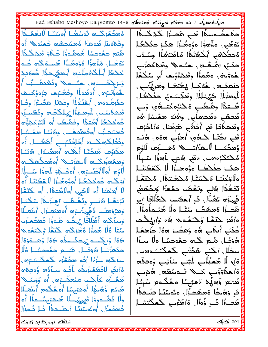Had Bshabo Meshoyo Daqyomto 14-6 ملحظة محنف شدّ 7 مقدم شدّ بالم المحموم بين المحموم بين المحموم الم وْهِكُمُرْكَّدِهِ يُوْمُهُكُمْ أُوْمَئْتُمْ لَّالْتَحْكُلُ حكْمحْـــــمــدُا مْنَــــ مَحـــزُا لَكَمْكُــدُا وثَمَّةَ مِثَّا هُدَهُ أَمْسَكُمْ وَهُمَّةً أَمَّةً تَفَعَّى مِلْهُوَٰا مَوْمَعُـزًا هِدًا حَكْمَ حَلَّكُـل هَتُم حَمْوَصُل هُوهُدوُل صَحْرَ هُدَكُمُل ەَحثَلاھَى ٱلْلَاھُنَٰٓھُا ەَامَّتھُٱا مِمَّـمَّت كَفْعًا. فْلُعِذًا فْذُوعْكُمْ مُسْتَمْكُلُّهُ شُم حكْبُ اهْبِصْــْهِ . هِنْـمِـلا وْتَعْلَمْكُمْنُب حُكْظُلُ أَسَلَّكُدُّهِ أَعْرَى أَعْطِيُكُمْ خُودًا خُودَهِ هُوتْمِينْ. وهُداً وقْدْلُوْهِ أَبْرِ مَنْكُمُا وَّعَلِيْكُمْسِيْرَهِ فِي مَشْبِيهِ لِلْا وَقُفَعَظُمْ بَنِّ أَنْ حلَّهُنَّهُ . حُقْدًا لِهَنْعْدا وقَعِنَّهُمْ . َهُوَوُّنُبُرُ» . أُوهُداُل وِثُعُبُرُها ۚ فِزُووُكُنَّكَ أُوهِ:اُ الصَّيِّتَااُ الْمَوْهَمَـٰهِ حَكْمُـا. حَذَوْهُ95\$ . أَهْنُتُمُّا وَدْلالْا هِدَّتْزَا وَدُلْ هُــتمْا ومُـعُبِ هَكْنُوهَـحْتَــوُهِ وَب هْكِمُمَّبٍ. أُوهِيُّذُا حَ الْكَشَرُهِ وِكُعْسِيَّ هُدهُبِ هِمُدهلُبٍ. وهُنُه همُسُل هُه حُمحُكَهُا أَهُتِمْا وحُكَمِعُب أَه لَاعْ كَلِمْ أَه وهْھكُانَا هُي أُحُقُّي هُزِهُنَا. 13مُكَرِّهـ دُهِمَهِ نُو دُهُمُهُ عَبْ وَوَمُنُهُ هُمُسُل هَى بِحُثْلِ كُنُوهِ أُهزَى هِوَهِ. هُنَّ وِدُدُالِكُلُّهِ كَــــ ۞ أَجَلَّحُتَنِ ۖ أَهَمُّتَـــا ﴾. أَه |وَهكَـَـــا لَّاعِقْزُاتــــــــلا هَـقــــزَمَ لَّاوُم مَدَّارُهَا مُسَّتْلِ أَيْلَاهِ أَمْسَمَا. وَيُنَا كَمْتَكَبّْرُهُ مِنْ الْمَرْجَعِ لِمُعْتَبِ الْمَعْلَمَ الْمُسْتَبَدَّلَ وْمِعُووْرُكْسُو لْأَمِعْزُنْسَلا أُومُعِظْمِكْسِ هكَــز حكْـلْهُــا هؤههــزُا لَّا كَنْعْهَنْنْـا لْلؤم أَدلَلاَ تَصَبُّرُهِ . أُدْشَيْءَ لِمُعَوْلِ مَسْبِيلًا ولَّاوْكْسُا مَكْسَّلَا مَكْمُتِمْلِ. مَكْتَفَّا ٱوْكُلُّهُ خُوكُلُكُمُ أُووُوهُـزُا لَّاحْقَدُنْنَا أَو كَتْݣُمْلْ هُنْبِ وِنُقْمًى حَمُّدْ;ْ وَبَخْتَمْجُ لًا أَوْخُسًا أَو لَاهَي أُولَاهُتِمَّا. أَو خَتَقَا أَيْنَ مَعْدًا. دَ أَحْتَس حَعَلَاتِ أَبِع تَبْتَغْلِ هَنْبٍ وتَقْبِقُب رَقِيَهِما عَكْنَال هَدُ أ هَ مَعْهُدَ: مَنْنُهُ ما لَّا هُنُدَاْهِ الْ وْهِبُوْهِنَبْ وَفَيْ بَرْهِ أُوهِنُهِ أَلِّي أَسْكِمَا ةَاهَٰذِ كَنْغْدَا وَكَنْعُسْمَدْ قُوَّ وْأَرْكِكْت وْسِلَكُمْ أَهْلَاتْا حَدْدُ هَدْوَا دُهْدُهِ وَ عَتْلَ ةَلَّا هُمَاً ا ةَمْزِيْدُو كَتَقَلْ وَحْمَقُوبُهِ حُدَّبُ أَبِدَّى ۞ وُهجَّى: وَهُ ا حَزْهِهَا هُوَدًا. هُـع كُــه حَقَّوصُــا ولًا مــرًا اةفقصة أهفه ملك مكرًا وعسةوةا حكَهَبْسًا هَٰذِسْـاً. هُسْـم حَمْهَدِسُــا ةُلُّا محُلّا. ٱكْتَبِ هَكَتْبِ كَمَكْتَسَّـهِ فِ. مِتْرَكُلُو مِنُوْا أُنُّه مِكْفَرُّهِ كَمَكْتِسُبْرُهِ. ەْ﴾ لَا هُمتُلُب لَمْتِب سَلُيْب وُوحِدْه ة/هكَاوْوْب كَسْلًا تُسْمَعُوهِ ﴾ هُشِب هُمْدُه كَلّْكُسْ هَنُعْدًا وَهِ ﴾ أو وُوْسًى ﴿ هَٰزَعُمْ وَْسَلَّمْ هُ مَعْرَضِمًا مَعُكُمْ مُبْشًا هُزِيَمٍ ذُهُنَّهُا أُوقِيَّيْنَا أُوهُكُومٍ أَيْتَصَلَّا كَرِ وَهُمْكُلٌّ هُمْهُدَ ُّلْ. هِ ثَمْ مَثْلُ لَ صَدْهُ الْ وأَلَّا دُهُّــدووُّا هَيْ اللَّهُ هُـدفوُّن مَا أَنْ أَنْ |مَحِدّأَا حَبِ ذُواًا. وْاهْتْنِبِ كَمِكْتِسْهِا دُهدَهُ: ﴿ وَ دُمَسُلَ أَحِسٌـدَاْ ۚ دَٰا خُـهِ وَا

تحلُّمُتامَ مَرْءَ وَكُمُ مِنْ الْمَسْلَمَةِ مِنْ الْمَسْلَمَةِ مِنْ الْمَسْلَمَةِ مِنْ الْمَسْلَمَة

 $\pi$ *dig*  $\leq$  201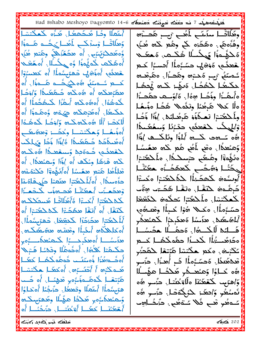Had Bshabo Meshoyo Daqyomto 14-6 ملحلته بمنشجة بتفقيح من 7 مله الشهيفة

أَمَعَلَلَ وَحُلَّ هُمَدِّهِهَا. هَذَّه لَكُمَكَّتِسْل وَهَلَاتْهَا وَسَأَكُبَ أَهُمَا حَدَّدَهُ أَمْسَاءُا وَوَمَحْدَدُوْيَهُمْ وَاللَّهُ وَاللَّهُ وَمَثْقَوْمِ مَنْهَا أُهكَكَم لَكُهُوَٰٓا وُهِ لِكُمُّلاً. أُهكَعْكُمْ هَعِدُو أَوْوَى دَهِرَ مِنْمَاً أَو كَعِسْرَةِ كَنْتُمْ شَوْمَيْهُ رَوْمَائِيْكُمْ وَمُنْدَوْلَ. أُو معمَّى مَدْدُونَ أَو رَوْوَ دُو مَعْ مَعْ مَلَامًا وَاوْتُ كُمعُدًا. أُورُّوكُمْ أَحدُّا كُلْعَظُماْ أُو مكْتْعَا. أُومُدْعِكْلَا حَكَمُه وُوعَدْوَا أَو لْلْكَتْ: أَلْلْ هُوكْلُوكْلُو وَاوْتُمْلْ كُوهُـةُا أُوزُكُمُ وَحَكْتُسْمَا وَحُكَّرَ وْهِدْهُمْكَنِي أُهشَدْكُمْ شُهُطُدُهُ ۚ وَإِذًا ذَٰكُمْ يَ لِكُت للقعثم ضُمَوْمٍ وُسِعْعِدُا وُمِكْرَهِ كَلُّه قَزِهَا وِيُكُفُّ أَهْ إِذًا وُحِبُّعَكُا ۚ. أَه مْلِلِّعْلِ هَبْمِ مِعْسَلِ أُهِ أَنْهُمْ أَوْ مَكْتَفَسْهِ دأهمينًا وأَمَلَكَ الله مَنَّعة اللَّهِ وَأَمَامَ الْمَسْمَدَةَ وْمِحُمَّ بِ أَحْمَنْنَا مُدْوَى كُنْدُمَّ ا كَمْحَمَّتْهُمْ أَبَّحْتَهُمْ وَأَهْلَاتْنَا هُسْمَحْكُمُو كَتَمَّا. أَه أَتَمَّا محمَّدُ الكلاحَدَ الله أه أَلَم لَحْدَدَا لَحَدَثَهُمْ الْمَحْمَدِينَ الْمَسْتَدَمَدُ أُه كالملكَّاه أَحَدُرُا وقتلته مؤمِّمَكَّلَه . هأمئسا أوهكرهسال كتعثعكمسؤوير حكْـمَـْمَا لَلاُهُا. أُهجُمْهُا وهْمْـُا فَـْبَلاً أُهدُداهُنُا وُمِمَيَّبٍ جُمهُدكُهُ لِكِعَا هُده نَفْرُه أَ أَتَسُمُ مِنْ أُه كَعَدَ الْمَحْتَسَدَ الْمَحْتَسَدَ هَّتِسْمَا گُەمُدۇنُوم ھُئِمَان أَو كُت هوَّجِسُماْ! أَعلَماْ! وتَعطِّل: حَزَّجُنَا أُوتَحَاوُا وٌىعىُعكَمْ وُمِ هَٰكَـدُا عَهَّىلًا وِهُـعَىِّبِكَــهِ أَحْمَدُنْكُمْ لَا دَمَّكُمْ لَيْ الْمُحَمَّدُ وَحَمَّدُ لَهُ أَوْ

ومَكْلَاثْسَا مِيزَمَنِّسِ لَأْهُبِ رَئِسِ هَمْسَرْوِهِ وفُنُوهَمٍ. وهَكُنو كُمْ وِهُمْ كُلُّهُ هُنَّى هَكَهُووُا يَجْكُنُا هُكْتُ. هَعْقَتَ هَعْدُمٍ هَوْهُل حَسَّرُهِ أَا أَحْسَرُا كَــْـعْ أَشْمَعُهُ آرِبٍ هَجْرَه وِهَدَّا. وهُرْهْدِه حكْمعُا حْهُدًا. ەَىيْ: حْدە يْحْمَا وأَبِّصُنُوا وذُكْراً هَوْاً. وَأَوْسِعِبْ حَجَمَةُوا ولًا حَلا هَرِهُمُا وتَذَهلا هُدًا وزُحمًا وِلَمَحْتَتَهِ! تَعَجَّذُوْ هَرِهُـائَمْ. إِوَّْالَ وَّكُـلَ أَوْلَىكُ لِلْمُعِنُومِ حَدْبُنًا وَسِعْعُمِدًا رُهُهِ سُسِرِهِ صَدْرِهِ أَمْلُوْا وِتُلِكْسُ وَإِذًا أَوَّعِنُعَكَالَ وَهُمْ لَمُعُو عُمَّ كَلَّهُ مَعْسُلًا ەنۇْھۋا وھُىغَى دېمىلىدا. ملَّىلغَنـْبَا أَسْتَمْعَا وَهُمَنَّى لَلْمَعْظَمَةُ مِعْكُنْتُ أَأُوسِنُوهَ كَعِدَا الْكَلِكِعَّتِهِ وَكُسَرًا وَلَدَتْنَا كَرِهُـوهُ ۖ كَنْغْلِ. وتَغْلِ هُكُــٰزِبِ وَةُب كْمْكْتِسْلْ. مأْحْمَّتْرَا عْحَكُمْ حْخَفْعْدَا حَسَّرُه). دَكَلا هُوْا گَـبِدًا وقْتَـهُم لْمُعْلَمَ. هزَّمْنَا وَهَدَيْدَا كَعَنْعَدَّمِ فَسَلِّكُمْ لَلْكُسْوَلَ: وَحِفْسُلَا هِجُسْسَار وجَرِيْبِ تُزِلُل جُحِبِ الْمَحْمَدِ مُعَالِمًا لَجِبِ مِنْ ككرمغ وكعر مكتشا هُتِمَا حَفَجُر |مْدْهَدْدُا. هَجِسَةَمِلًا كَبِ أُهدَٰا. جَنِّب ِّهُو كُمْلُوُا وَعِنْعَمْ مُكْمُدًا عَهُمْلًا وَّاهِمِّ ۖ كَمُعَكِّنَا وَلَاقِكِنَّا. حَنِّبٍ ۞ه ﴾ تُمسُعُدٍ وَ/حعَّـ: حـْرُجُّةتَــا. حَنَّــدٍ ۞ه |عُــوهُـــ وَاللَّهُــــة هُدب حَزْمُـــارُوب

بَكْلُهُمْ لَهُوْمَ بَكُمُ لِمَنْ الْمَرْكَبَةِ وَالْمَرْكَبَةِ مِنْ الْمَرْكَبَةِ وَالْمَجْمَعَةِ و

 $\pi$ *dig* 202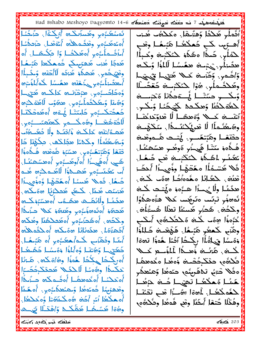Had Bshabo Meshoyo Daqyomto 14-6 ملحظته المستمرين من جمعه المستمركة

تُمسُعَيْهِ وهُسأَنكُم أَرْكِتْهَا. حَنْحُنَا أُهَمَّعَيْدِهِ وَتَعْشَمَكُمْ أَعْقَصًا. حَرْكَمُنَا أَٰىزُشُــمِلِّــرُوءٍ أُومَٰـلِكَــا وَا تِكْــمْــا. أُو هُدَدًا هُ: هُدَيْ هُدَيْ هُ هُدَ اللَّهُ اللَّهُ اللَّهُ وِثْنَيْ خُدِي. مُدْهَكُوْ هُزْئُد لَّالۡ تَنْسَ وُحُدِّرُاْ أَحْدَّمَ; أَمْرُهِ بِهَذَاهَ مِعْسَا كَمَ ٱلْمَرْدَةِ وُەكَاكْسۇەير. ھۇڭزىس كالگىرە ھَتىل وَهُنْا وُعَكَدُهَأُمُومِ. هَوَوُب لِّأَهُدَكُرُو كَمَحْتَكْتُرُهِ وَحَامَتْنَا فُتَدَه أُهْمَدْكَنْنَا لَّادٌ مُعْمَـــا وِرُّە كُـــەر كَعنَعَــُــرُەر . هُدعُهُ 12ْشَرَه عَلَيْكُمْ وَاصْلَحْ وَلَا حُجَّدِيْهَ ٱبْ وَ هَ هُنُماُ! وكُمْنَا مِجَاكُفٍ. مِكْهَنَا مَا ثَنَّقًا وَمُّتَمَّتُومِ. مِنْتَهُو هُوتُونَ فُـذُووَّا ِهَى أَدْفَى أَا أَدَاُوهُــرُّدِهِ أَدْهَـنُنْدَا. أَب مُعْبَنُتُ وبِ هُدِهِ إِذًا لَّاهُدِهِ هُدِهِ هُدِهِ ضَعُلَ. ثَمثُلا مُسْئَل أُمَعَّضْهَا وُمِؤْمِيداً هُزِيَكُمَا هُمِثَلَ لَكُنْهُمْ هُمَكُرْبُلُ 30 كُلُوهِ . هدَّسُا ولْأَنْكَبِهِ هِهَيْفٌ أُوهِيَّزْوِيْكُ، هُدهُوْ أُوتُوهُ وُمُو وهُلهُوْ كَلا حِزْكُمْ وِكْدُهِ . أُهْهَدَّنْدُو أُهْدَدْهُمْ وَهُكُهِ أَكْھَنُوَّهُ. مِكْمَلْلُ وَوَّكْلُو أُوْحَقُمْهُوْ أَسًا وِدُهَّنِي حُداُ مِعَدَّوي أَو هَيُسُا. حَعَيْهِما وَهُتِمَا وُهِ أَمْلُوا وَهُمِيمَا حُهُمِهُا أُورِكِكُما حَكْمًا هُوزًا وِرَهُ/وْكُلُو . هَـزْنَا تكلما وهُوسًا لَلكَلا مُحتَدْرِحُحَيًّا أُوتَكِنَا أُوتُومِعُا أُوضُوكُمْ صِزْجُلًا وقدفؤهذا خُممَعَكُم وُحمَنْعَكُمْ وَمِن أَمْسَلُمْ أُهمْكُمُا أُمُ أَكُنْ شَهكْتُمَاءَا وُهمُكُمُوا. وهُوْا هُسُمُا هُقَّكُمْ وَاقْتَالَا يُحِمَّ

ٱثۡڡَلۡؠ مَکۡـٰۃٗڵ وَقَیَّـٰھَا. ہػـٰکـٰ۞ٰٮ مُـٰۂٮ أُهْجَبِ كُبِ كُمِحْكُمَا هُزُمُهَا وَهْبِ لِكْمُلُو. كَمِدًّا هِكْلَا لِكَنْكَبِمِنْهِ وِكْبِلًا مْتَمْنِلُر بِيْ بِيْ مَعْسُلِ لَالرُّا وُحْدُهِ أَوَّاصُوبِ وَكَنْسَةَ كَمَلًا هَتَيْهَا قَيْمِيمَا وهَكْشُملُرٍ. هُوْا كَمْكْثِرْسِيْنَ كَمْخُسْأَلَمْ وُكْــــــو حمّتْـــــا فُــــــقدكُمْنَا هَـْدَمِــــــف لمَعْدَمُنُا وَمِكْـمِهِ لَيْهِمَـٰا وُلْحُـبِ. أَسْسِرَهُ كَسِلاً وُقْعِدْهُا لَمَّا هُدَوِّنْدِيكْسَاً. وِرَةَ حَثَّـدَاً لَّا مَّحِرِيَكُنَّـدَدًا . مَكْرَىـــزَة حقتقا وهُبْتَمَـــر. لَهْــد هُــدوهْده فُـذُه; مَنْنَا فَيْ-ہُر هُوهُــرِ همّشَعْنُـاً. كَعُسُرِ الصَّـكُوْ حَكَدْبِـــةَ هَــح كَــمُــا. فَلا هَتسْهُلُّا مَعَّصْهَا وفْعِيْدُا أَحْضَرَ |مْعِنُونَ فِي الْمَعْدَامُ الْمُعَدَّدُ الْمَوْمَعَ وَالْحَدَّوْمِ بِ هَكُسُا وِلَا يُحِبُّرُا هِـبُّوهِ وَكُتِبَ لَكُنْهَ لُّەھۈُر ئېنَّىپ ەنُرِيَّىپ كَىلا ھَتُّەھِكُوُّا . و كْدُف . هُدُم هُسْنُا لَعْلَا هُسْتُلُو. كُبُوءُا هِوَّى كُنْ هَكْتُكْتُوم أَكْب وهُّنِي للْعَعْرِ هُبُعُلٍ. فَهْعْمِدْهُ كَالمُؤُل وْهَسْا فِي افْلَا رِجْعَتْ آفْتُا هُووًّا لَمْعَاهَ لْحَسِنُ . هَٰزَسُـن وُهِــدًا لْمَاؤُسِــع كَـــلا عَلَاهُ مِكْتَدِهُتُمِنَّهُ ۖ وَمَعْدَلَ مَعْمَدَهُمْ ۖ وَلَدْهُمْ وَلَدْهُمْ وَلَدْهُمْ وَلَدْهُمْ ءثَلا تْتِبُ لْدْفُرِبْنُو، حَدْهُا وَٰهنُعَدُمِ مَسُلٍّ هَمكْمُا تَعِيْهَا دُمَّةٍ حَرَمُهَا لِحَقَّدِيكُما. أَ30 اللَّهُ أَسْرًا هُبِ تَتَّمُنْنَا أُ وِهَٰٰٓذَٰلًا ۖ هُـٰٓءَمُّلَ لَمُ كُلُّ وَهُدٍ ۖ هُـُمَٰهَٰلٍ ۖ وَشُلَامُو ۖ وَ

بحثاءته عردتكر سأمذ بكلفكة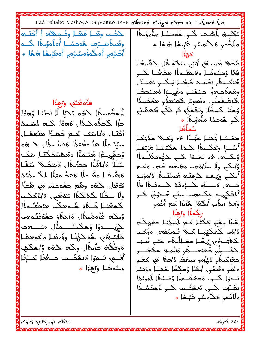Had Bshabo Meshoyo Daqyomto 14-6 ملحلته بمنشجة بتفقيح من 7 مله الشهيفة

لحدُّس ومْكَمْ فَعْدًا وضُمِيْلَاهِ أَأَخْشُدُهُ وقَبْلَهُ هَذَهَبْ الْمَادَوُنَا الْمُسْتَدَمَنَ الْمُسْتَدِينَ الْمُسْتَدِينَ أَكْبُوبِ أُوحُدُوُومَمْبُوبِ أُوهَبُنَهُا وَهُمَا ﴾

فأوقشه وزفأا أَهشُوسِهُا كَتَوَه مُكْرًا لَّا أَحِنُنَا وَّتَوَادُ دُّا كَحِدُّهِكُما. هَ‰ا كَدَّه لِمَسْكَمَ آخشا. ة/لمئٹ كم دْهدُ اهتَهمَا. مِبْتُولًا هِنُوهُتِمَّا وَصُبُمِّاً. كَنَّهُو وَحفَّى—ْتَرَا هُدَّـتَهْلَا هِ هُدَمَّدَكْتَـا هكَــرَ مَتِنْلَا هُ/اَةُلُّا حجَّكُمَّا. هُهكُمْ مَغْل وَاهَبِعُبا وهُبِماْلِ وَهِجُبُوراً لِمَكْتَبِهُمْ تفقعل حكمه وهُم حمُّوصُل هُم هَدُّا ولًا محُلًا خَدْخُدًا عَـٰٓصَٰىٰ: 13⁄2كَــٰ لَّحْمَدُ لَم أَنْ هُــدَهْدُ مِرْدُتُـدَاْ وَمِنْكُمْ قُزُّەهُمْدًا. هَ/حَذُّوْ حَقَّةَفُنُّهِ مِ لْخَيْرِ وَمُؤَادِّرُ مَكْسَنُ وَالْمَنْ وَعَمَدْ وَمَنْ مِنْ مِنْ كُلْتَبِيُّومِ هُوَحَكْهُمُّا وِؤُوهُمَا وَخُوهِهَا هُوهَٰكُة حَنُماً. وِكْلَة كَلِّهُه وَالْمَكَنِّ أَنَّــمٍ نَـــمَوْا هَــمُكَـــب حـــهُنَا تَحــرُنَا ومنَّدهُمُا وَرَكُوا \*

كْتْرَمَةْ الْشَعَبْ حُسْرَ هُوصِبًا وَأُوضِّهَا ەللۇمر كەندەمئىر كېگىل شىغا ھ هَٰدۡلا هُ:ٮ ش أَتَبۡى مَكْتُمُا ۚ. حَفَّ:هُـا هُنُا وَحِشُوحُــا هِهَٰىغُشُــهِ أَا هِهَٰٓنَصَـا لَحْــبِ هَٰٓ;كَـــٰمُر اصَّـُــٰهُ ضَرِهُــا وُٓـكْـــر عَمَّـــزًا. وثنعكادهؤا حنتقتير مثهيئ أمحسكك لْحَاهَدِفُواْسِ. وهُدومُا لَحْمَنُعِداُسٍ مِعْضَيْداًا وَهُءُا كَسَحُلًا وِتَقَعُكُم كَرِ ثَكَى مَُتَّقِمَّتَ ﴾ كُبِ هُوصِمًا ولَمُوصِّدًا ﴾ مْعَلُّعُنَّا همُسُلِ وُحِيُلٍ هَزْسَٰوَٰلٍ هَوَ وَجُمِلًا حَلَّوَيُحَلِّلِ أَسْبَا وتَكْمِدًا حَـدًا هكْتِسْا هَبْتَهَا وُكْتُ: ۞ه تَعْتْدَا كُبْ حَذَّوْهِ دَانُتْ وَلَٰهِ رَ أَوَّا مِكْمٍ وِلَّا مِمَّاءُهِ مِنْ هُمْ هُدِهِ مِنْ مَكْتُمْ أَسْكَبِ وَيُهُمُّ ذَاءَتَهُ هُمِينًا مَاهُ وَمَنْ الْمَرْوَاتِ تْبِ وَمِيدَهُ لِكَرُوكُمْ كُلْدِهُمْ أَنْهُ أَلمَفَكِيءَ حكَّدها. سَبَّ هُـدَوْسً كُــر أَوَّابِهِ أَيَّمَٰنِ أَيْحُوا جَنَّنُوا كَمَّ أَثْمَرُ رجْداً ورُهْزًا هُسُا وهُبْ حَكْثَا حُمْ أَسْلَاصًا حقهكُ ةُاهَ لَكُمْتَيْهِ لَكُمْ لَـمْنُعْلَاهِ. وَذَكَب حَمَّةٌ حِمَّةٌ مَاشَلَهُمْ لِتُمَرِّرٍ رِهِ مُّتَى مَّذَاكِمَةٌ مِنْ الْمَرْدَةِ مِنْ مَاسَعَةٍ مِن حَكَّرْكُنجُّارِ ۚ كَايُّرُّهُ مِنْقُطُلُ ٱلْأَصْلُلُ ثَمِنَ كَتَفْسِ ەڭتُو ەقىمُو. أَمثَنُا وَحكْحًا هَٰعَـُـا ەوَحَـُـا لَــوْا لَكَــرِ. هُحِمْقَــفُلًا وِّتَــنُمُّا لَمُوْنُمُّا لَّقَاءُدَ خُلُونَ ةَلَعَّصُنَكَ خُلْوَ الْمُحَسَّلُا و الأَهُو وَمَكْرُومُو هُرُ**ـهُ**ا \*

تَحْلُقُكُمْ مَوْمَ بِمُكْتَبَةٍ بِمَكْتَبَةٍ مِنْ مَنْ الْمَدَّوْمَ

 $\frac{1}{204}$   $\frac{1}{204}$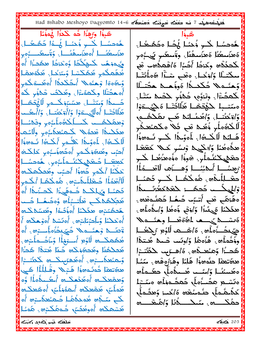Had Bshabo Meshoyo Daqyomto 14-6 ملحلته بمنشجة بتفقيح من 7 مله الشهيفة

هُرِذًا وَرَجْزًا هُم كَحَدًا لَمِمْتَكَ لِمُوصِيًا لَكَسِ وُحِيًا فُلِكَ أَصْفَحُطَ. ھزَىيغُنُّسَا أُەھزَىيغُنُسَا. وُتَسْعَيْسَيُّەبِ وَيُحوَهُما لَكُنْهُكُمْ وُوَتَدَرْهُا مَنْقُصَرُا أَو مُعَمِّدُمٍ مَمَّدْسًا وُسَرَحًا. مَثَّوضهَا وُ وَمَاءَ أَوْ عَنُمْ الْمُكْلَامُ أَوْ هُنْدَكُمْ وَمُسَوَّلُهُمْ أُهمحُتْلَا وكُهمُتْزَا. ومَحْكُب كَمْؤُرِ كُم دَّــماً وَمَتْــا. مسَمَوْكُــوبِرِ لَلْهُدَهَــا هَٰلَائُنْـا أُولَٰٓا ۖ وَٱلۡ وَٱلۡ وَٱلۡ وَٱلۡ وَٱلۡ وَٱلۡ وَٱلۡ وَٱلۡ وَٱلۡ وَٱلۡ وَٱلۡ وَٱلۡ وَٱلۡ وَ وْمِعَكْمُـــد لَّـــأَكْثُوهُ أُخُومٍ وَتَحْتَــل مِنَكَنِمَا مُحَمَّلًا لَكَنْفِيكُمْ وَمِنْ وَلَأَيُّفَ لَّاكُدُّا. لَمَوْجُدًا كَلْتُمْ أَكْدُّا تُنْمُوْا أَدَّبَ وهَٰدهَٰوَنَكُمْ أُوَدَّوُوَ وُمِهِ كَالَكُـ فَ كَعِفْقِــا حُـمْنُكُمْ كَنُنُــملَكُومِ . هُمَدَسُــا تَعْكُنَا ٱلْحُمْمِ ۖ دَوَٰهُۥ ۗ أَحَبَّبَ ۖ وَهُمَكُمْكُنَّهُ لَّاٱتْعَمَٰاٗا شَعْلَلُكُمْتِرْ» . هُمكْهُا ٱكْمِر دَّهَنَا مَلْكُمْ شُوفُهَا لَاصْلَاقِ الْمُعَامَّةِ مِنْ مَٰدِكْهُمْكُمْ مْلَتّْبُلُّهُ وُدَّحُمُّا دَّـت هُدهُنْتُوه مِنَكْنَا أُوذُهُمَا وِمُسَكِّدُهِ أُهْدَكْنَا وُلَحَبَّنَاتِهِ . أُهْتَشَكَ أُهْوَجَدُهِ أَ وْدَئَـــدْ وْهِنْـــەللا دْيَىمْدُوْه أُوْسَــْرُهِ . أُه مُعْمَدَ لَهُ الرُمِ أَحِدُوْلُهُ وَخَضُحاً وَمِنْ اللَّهُ مُعطمُلًا ومُحدَّونِكُم حُمَّا مُتَمَّا هُدَا وُحِمُعِدًا مِنْ أَوْهُدِهِ مِنْ مَحْمَدَ وَالْمُحَمَّدِينَ مدة تمثل حُمنُــهووُّا هُــْمِــلا وقُــالمُـلَّا هَــي وُهِدْهِكْسُ أُوهُدْهِكْسُ أَيْضُمِيْهُومُ أَ وُو هُدلُّسٌ هُدْهَدَدُه أَحدُوْلُسٌ أَدْهَدَدُه كُم سُبُّرُه هُمداُهُما مُعسُداً و أَه هُسْعِكُلُو أُومُكُمُ شُومُكُمْوَ وَهُمُلَا

لِمُوصِبًا لَحْتِ وُجِبًا هُجُلَ وَجَعَيْفِيلٍ. |ەَھنَىمغُىُّا ەَھنَىمغُىُّا. وقَىمغَىر يُحِبَّەر لَكَحَذُهُ وَكَرْحًا أَصُّرُا هَاقَعَدُهِ فِي مىڭتىلا ۇ/ۈكىل. ەقىم مىترا ھەلمىتىل وُهِنُـدِما كُكْنِـدًا هُوؤُهِــدٍ هِكْتِــلًا كُمصُتْرًا. وِتْزَوْى حُمْزُرِ حَصْمٌ مَتْتَا. ممحّبا حهْقها مَلَاكْتَا مَحْيَدَوْا وَاوْكُسًا. وَاهُسُـائَـه هَــ بِمَكْشُــهِ لَّاكُلُّەمْبِر فُعَكِ شَكِ مَكْعَنْعِكُمْ فَّـامُمْ لَاحْــدَّا. لَمْوَجْدَا حُــرِ نُــدِهوَّا هدُّه هُمَّا وَٱلنَّهِمُ وَبِسُو كَبِيْلًا كَفَقْعًا. حفَكهكمُنُـملُر. ۞ووُا هؤُهعنُوُكم كُـرِ تَرْهِيمُكُمْ أَيْجَيْئِكُمْ وَهِجْتَهَا لْأَتَّقِدْ وَالْمَرْسَوْمَا حَعْصَلِلُكُمْ . هُمكْهُما كُصرِ كَعنُما وْلِلِحْسَبِ حَحصَـــ; حَعْجَكَعُبْتُـــمأَا ەفَرْهَــ مْـــ ٱتــَرَــ مُــعُــا مَٰعنُــەتدە . هذَكْمُا وَالْمَوْمَ وَالْمَوْمَ وَالْمَعْرِهَا وَالْمَكْمَاءِ. كاستسمي استوقاه لمستر فاستناة حَكِيجُ - أَنْ أَمْ قَاءَ مِنْ أَوْمِ رَجِعُكُ - أَ وَفَّدْءَاهِ . فُنُوهُا وَ/وِيَب شَــدِ هُـتَدَاْ كَحِبُّوا وَعِنْعِيكُمْ وَ وَاصِّحُبِ كَكّْتُتْ إِ هِهَتَعِبْلَ حِنَّهُوذًا هَٰلِمًا وِهَٰ;َوَوْهِ وَ مَنْهُا ەھَسسُّل وَٱسْت هُــْمَةً فَي حَقَـٰدَاْنَ وَتَسْبِعْ هَشَيْوَلَمْ هُهِشُودْلُو وَسَيْرَاءُ لَكُمُتْمَلِّ تَشْمَمْتُلُهُ } } كُمْ وَتَقْتُمْهُمْ حفُكْت مِنْ سَمَعْتَ وَالْمُتَعْبَّدِهِ

لَّكُمُ الْمُوَامِ لِكُمُ بَاسَ الْمَرْكَبَةِ مِنْ الْمَدَّوْسَةَ

 $\pi$ *dir*é 205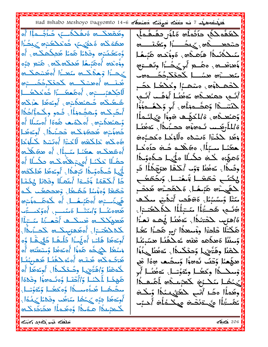Had Bshabo Meshoyo Daqyomto 14-6 ملتحله بمن المستمر بمن 7 مل المستمرض بن مع المستمركة وهُدْهَنْكُ وَ دُفُكُمْكُ مُبَرَّضُوبُهُ أَو لِلْعَفُمِلِكُمْ حَزَّثُمْلُرَّةً هَٰلَؤُرِ حَقَّىقُـمَلُ انْكْلِرْ مْكْكْتْمْ مْرْكْفْدْ مْكْكْفْتْ وْهِ مَعْشَيْرْهِ وَشَمْئًا هُمْا هُدِكْهِكُ هِ ، أَه سَّىلاُمَّىدُا قِزَهِـدْ‰. ەُوۈْيدە ھَرَىمُـل وؤُهِنَدِهِ أَوْهَبُهُمْ هُدَلَدُهِ كَدَهِ . هُنْعَ ذِرُه وَهيوهده ومعامل أبري حُسوا وتَهدوه بمكشأ ومككره كمعائل أوقدهكن مَعْصَـــْ;ہ مَسُـــا كَحْتَكْرِحُكَــــــــە ه مُسْد و أومشكد مكحنّذرحُحُمدو للصَّهاوُهِ . متصرُ إلى اللَّهُ عَصَر لَّاصَحْدَ مِنْ أُوصَعِعَكُمْ أَوْ هُوَجُحْدُكُمْ الْمَ أَنَّــم حـعنُعــدُ10 عَـمَعُـل أَوْقَــد أَنَّــم هُمعُنْدُه ضُعِنُعِدًا وَمِنْ أُوسُومًا هَزْدُه َكْتَسَــدًا وَعَصَّــوَٰٓءُاهِ ﴾ أَبِر وَكِـمُّــوَٰٓوَٰٓا أَبْدَيْكُ: وُبِعِثُوذُا : ثُبُو وِكُوءٌا ُدُمًّا أَوْهِنُعِيدٌ وَالْمُؤْمِنُ مِنْ وَوَوْاً وَيُخْلَصُوْاً وُحِمُعِكُمْ وَمِنْ أَوْحَدُهَا هُوَةَ الْمُسَلَّلَ أَو ةُالْمُأَرْهَٰــْـب نُــهْوَوْه حَصَّرْبِهُۚا لِ مُوهُنُـا كُرُمْ مِنْ مَلْحَرَةَ وَحَكْمَ صَحْبُكُمْ ﴾ أُوحَدَهُمْ ا وَهَا لِكُنْزَا وَيَسْلَاهِ وَلَلْوَجُدَا وَخُصُّوْوَة وه مكره تعلكهو للكنثا أوئشه للمأوجا هعَنْـا مِــَٰٓئِلًا. وهَٰـمْــد دُــف حزّوجْـا أُه شَعِيكُ مِعْ مِعْدًا شَهْرًا. أَو هُوَ هَكَ م أَهْجَمْ: كُنْ حَكْسًا مِلْيُها حَكَّاهُ مِّلْهَا حفُلًا تَحْتَبَا أُورِيْهِلْأَوْجَدِ حَكْسًا أَو وِصَّدًا. عَمَّعُلُا وَوَّبٍ أَخْذَا هِرَّجَدُاً لَهِ م لْمُكَا حُمْدُهَوْجُا تَبْعَدُا. أَوِعْدَهَا هَالْحَدْو أَمْ كُنْتُبْ دْنْفْشْـا رُّْـمُْتْـا. وُنَحَّدْفْعُبْ حًا أَكْفَهُا ذُمُّدَا أَعنَٰهَا وَدْمَا لِكُنْا لحَفِّيتُ هُ مُبْسُلٍ. هَلْكُمَتْ وَ هُدَتَ دْتْقْعْلْ وُهْؤْمْلْ دُهُبْعْلْ. وْمْحْمْعْبْ لْكُنْمْ مَتْلَا وُسِنُبْرُطْ. هُۊَهُصَد ٱتكلِّيْهِ سَكْتَ فَيْ َسْرَهِ أُوهَٰ مُسْاً. أَو حُدِهُ وَمُرَهِ هُنُـمٍ هَدـُّزُاْ مَـٰٓزِلُاْ كِكَكِعَتِيْلِ. كَدْوَوْمُكُمْ أَوْلَمْتُمْ أَوْمُنْسَىنَ أَوْكُمْسَتُوب كَافِرَى لِلْحُرْمَاءِ. كَمَعْدًا لَهُمْدَ لَعَدًّا مُعدِيكَكَ مِ مُسكَكَّ أَحْمَلُهَا مَنْ الْ كْمْحْقّْتْ أَنْ أُوقُعْ مِيكْنُو كْحَنّْزْهَا . هَكْتُلَا حْلِحْرًا وِوْسِعِدًا رْبِي هَجِرًا عَعْبًا أَوْعَمَعُا قَالَتْ: أُه هُــٰٓ; أَ كَأَــٰهُـا كَايَـٰتْـا وُه وَمِسْلًا هَ هِكُلُهُمْ شَنْرُهُ شَكْحُبُ هُمُ هُمُ مِنْهُ مِنْ وَسُعُلٍ حَيْثُم هُووُا أُوسُوطُ وُسْتَسْتَمْ أُو لْحَمْلُا وِفَتْهِيْ وَحِدْكُمِمَّا . مَوْهُلْ بِأَوْا هُزِكُمِكُمْ هُشَهْ أُوشُكْفُلُمْ هُعْمِيْنُمْ ِ هَجُمْنَا وَجْنَبَ نُوهِؤُا وَسَجَّنِفَ هِوَا هُي لْحُمْقَنَا وَاهَّتْهَا وِصُدْكُماً. أُوعُمَدا أُه وْسكِـدًا وِكَعُــا وِخَوْتَــا. عَەمُنُــا أَب هَٰجِئًـا لَمَـْـَـا وَٱٱتّْتَـا وُهِنُـهِوٰوَا وِتْـهَاهَا الْمَــْمَمْــ (مَاسَــْتِمْ مَاسَـدَة مَاهَـدِيةً) سكُنفُــا مُدأُوســدًا وُوكَعُــا وَخُوُيْــا. وهَٰداً اهْکَ اُنْبِ لِلطَّيْٰلِمُنَّالٍ وَّمِكْتَ أُوحَمَعُا جَرْهِ ﴾ مُمْا سَرْهُما وَحْمَا ﴾ مُمَارَ حبَّسُهُ مَالَمْكُرِهِ مَحْنَمْتَرِهِ الْمَنْسَفَةِ الْمَحْسَنَةِ لَكْتَفِيْتِيْهَا هُدَّهُا وُوَهُدَاْ مِدَّرْدُتِكُونَ

تحلُّمُتامَ مَرْءَ وَكُمُ مِنْ الْمَسْلَمَةِ مِنْ الْمَسْلَمَةِ مِنْ الْمَسْلَمَةِ مِنْ الْمَسْلَمَة

 $\frac{1}{206}$   $\frac{1}{206}$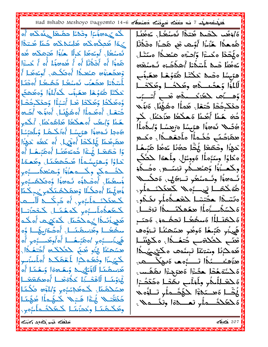Had Bshabo Meshoyo Daqyomto 14-6 ملحظته المستمرين من جمعه المستمركة

ماً مگمْر لصْفْد لمْصْفْ ابْنُهُ مِرْ مْكْ كَمَا هُدِدْهِدْهِ هَاسَدِدْهِ حَسَّا هُـتَمَّا تُمسُعُل: أُوعُمَعُل حُرلًا هزُوًّا هُرْهَكُلا هُو هَمَوُا أَو أَضَلُتْلَ أَو أَ هُدووهُا أَو أَ كَسْتَرَا وْهِجُمْرْوْهِ عِنْهِجُا أُوضِّكُهِ. أُوسُوَّمَا أَ لمُتلَّمُتا محَمَّنَ شَمْعُا حَمَّمَا أُوصَا تَعَكْتُا هُقَوُهَا مَعَرَّفَ لَكَةَأَمَلَوُّا وُهَمَّمْهُمْ وُومَحْكُمُا وَمَحْكَمَا مْمَا أَتَّبْلَمَا وَحِدْخُرْحُصًا حٌتمْا. أُوهُداًا أُوهُمُنا. أُورؤُلا أَحَدُو لْعَمِيْلُ وَإِيضَا أَوْجَعَكُمْ هَٰاهُوجُنَا. أَيْحُوبِ هَودا نُـوهوُا هوَّجِسًا أَوَأَكْتَهُا وُلَحَيَّنَا معَرِمُسًا بِمَا كَحْلاً أُوشَى!. أَو حَمْدُ حَدِيَٰا وَا دْقْعْدَا لْمِتْهَا دُومُوْهُمَا أُوهُرُجُمَا أُو تَدَاوُا وُحْقِهِشُمَاْا هُنْدُهِعُنَيْا. وَهُمْمَا حَدٌ وَكَرِ مَعْنُوا وَعَنْعَظَمَ وَمِنْ ؤْسِعْتَالِ. أُوضَّلُوُّْو شُورُوْا وُوطَّكْتَكْشَرُوپر وُهِ يُسَالُ أُوهِكُمْا وْهِجُكْهُمْكُورِي كِبِكْمَا لْمُعِدِّكْتُ وَأَمُّوي. أَو جُرْتُكُمْ لَأَسْمَت ِكْمَعُمْدُهِ أَسْرُهِ بِ كَمَمَّسًا. كَنْفَدُّسَا مَحْمِيرُتُمْا يَهْدَمُتْ الْمَنْامِيرُ الْمَنْامِيرَ مَنْ سعُعْدًا وَهُزْسِمُّسًا. أُوَدُّوَّرُوْكَ أَوْ فَيْ نِـــزُوبِرِ اوهَّزُمِــَــا أُواُوهَـــزُوبِر أَو هسَّعسُل لِأَو هُبِّ للطُّلَام أَخْتمُكُلِّ. لْحَيَّىٰذَا وفُعَدْدَا لَمْعَفَكُمْ أُملُسْنُب هَٰزِمِمُنَا لَٰآوَٰٓئِل ۖ دُمُّوهَا وَمُمَّنَا أَه لْمَرْمُسًا لَلْفَصَّيَٰا حَدُّة هُــا أُومِمُعَمَّدَـا مشلطَسًا. گەھَدىمَوْمو وَالمْوْم مَكْسًا حَكَفَتَــا لُــةَا هَــْبِا لِمَــٰهَـٰمَـٰاً هُهُمَـٰا وهَكْمُمَنَّا وِحُدَّنَّنَا كَمَلَادُ وَأَرْوِي.

وَّادِهُم حَصْبِهِ هُتِمْ الْمُمُعُلِ عَوْمُلُ هُمماً هُّنُّنَٰٓا أَوُّىعا هُو هَٰحَـٰٓا وَثَمُّتْا ولَمَحْدًا وَمُحْشَرًا وَاحْزَاه هنُعْجَاً وَعَشَاً. كَمُعَلَّا شَيْئًا مُتَجَابًا أَبْعَدُكُوا مُتَحَمَّدُوا ْ هَرُسُلُ هَـمَـهُ كَـكْتَـلُ هُـّهُوُـهَـلُ هَـهُرِؤُب لَّالمُوْۤا وَحمَّىسےْ۞ وهُكصُّا وهُكْصَا وَهِـــزَم، لِمَعْزِنُكِـــمِلْمِ هُــــمِ أَتــــرَب حثَكْرِحُحْا حُتمْا. هُماًا معُهُلًا. هَرْفَلا دُنْ هَىلا أَمَّىئْا ەَحكْتُدا مەَدْئىلا. خْر الْمَصَّلا نُوهزُا هِجْبِمُا وَرُهِمُكُمْ وُٱحْدُارُا همَّرْحَتِّ حُثَّماً مأَنْقَفْ الْعَلَى مَحْتَم تَحِيَٰزُا وِحْقَعْا يُخْا حَمُّلًا عَمْدًا هَبَسُلًا هكَاوُا ومَنْزَهااْ هُووِمُوْل. ولِمُعْدَا حَدَثَكَمْ وِكْمَــّْزُا وَعِنْعَـــدُو تَنِمّـــع ِ. وَصُــدُوْ أَ نُـــدَهوْا وِنُـــمنُعُـدٍ نَـــزهَالٍ. هَــدُــــلا مُقدُهَـــا تيـــبُوما كَعنَكِنَـــولُر. ەئتىـدَا ـمخَتـثــا لــفقـمـدُه لـرا بكــدَو ِ. هَ كِتَكُفْ أَوْمُ الْمَعْجَدِّ مَثَلَ لَهُ قَارَ الْمَرْسَلَ. هُكْشَلْلًا هُمْهُهُا تَحْفُدُهُ هَفَ. هُحَمَّ فَيْ مَنْ هَدُهُا هُوهُو هِمُعْمُدًا تَـزَوُّهِ مْتَـــح حَدُدْهْـــــح حُتمُـــدًا. مكّمِتُــا هُدهِ وَسْتِئْلَا نْبِمُدْهَا وَلَكَتَيْهِمْهُمْ الْمُسْتَدَمَّةِ .متَوْعِنْسِـــِـمُكُلْ نَـــــــوْمِــه وَيَحِكْــــــم. مَحْشَةَهُدًا هَمُتْرًا هَمْدَجْتْرًا بِمُكَسَبٍ. هَكْشَـالْمَامُرِ وِلَمْوَلْبِ بِـهُصْـا هِكَتْخُــْـْ إ لْمُشْـا هَمْـــَمْتَرْ الْحَكْشُــْمِلْرِ تَــاؤُهِ أَهْ لِحَكْلَاثُــــه أَبِ تَـمـــــاة أُوتَنُـــه لا .

حَدُهُمْ مِرْحَمْكُمْ بِمَهْمَ بِمَثْلَهُمْ

 $\pi$ ar $\leq$  207